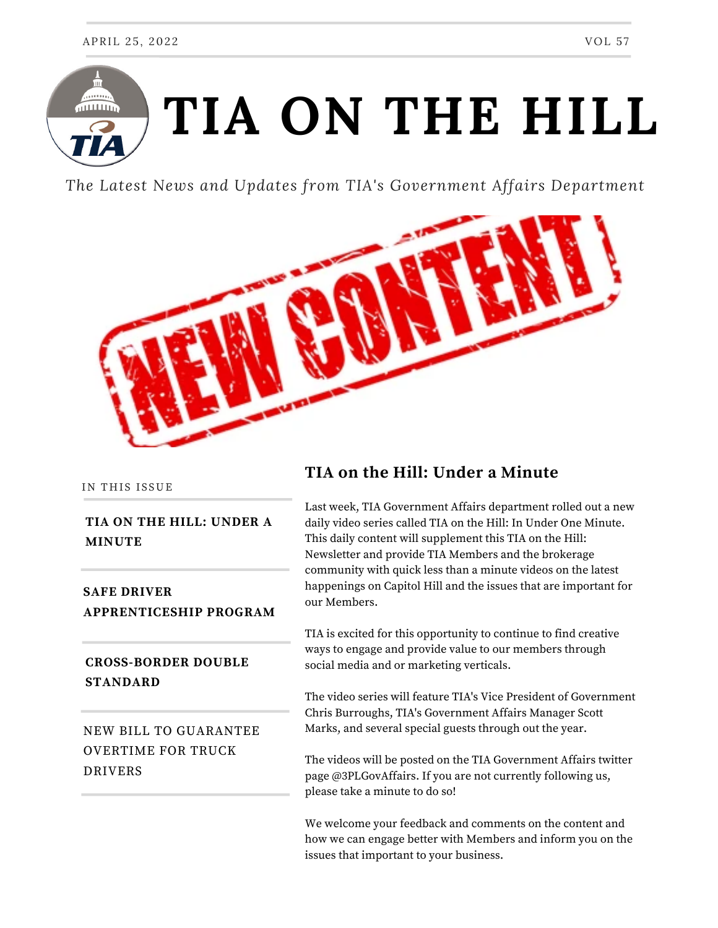

*The Latest News and Updates from TIA's Government Affairs Department*



IN THIS ISSUE

#### **TIA ON THE HILL: UNDER A MINUTE**

**SAFE DRIVER APPRENTICESHIP PROGRAM**

#### **CROSS-BORDER DOUBLE STANDARD**

NEW BILL TO GUARANTEE OVERTIME FOR TRUCK DRIVERS

# **TIA on the Hill: Under a Minute**

Last week, TIA Government Affairs department rolled out a new daily video series called TIA on the Hill: In Under One Minute. This daily content will supplement this TIA on the Hill: Newsletter and provide TIA Members and the brokerage community with quick less than a minute videos on the latest happenings on Capitol Hill and the issues that are important for our Members.

TIA is excited for this opportunity to continue to find creative ways to engage and provide value to our members through social media and or marketing verticals.

The video series will feature TIA's Vice President of Government Chris Burroughs, TIA's Government Affairs Manager Scott Marks, and several special guests through out the year.

The videos will be posted on the TIA Government Affairs twitter page @3PLGovAffairs. If you are not currently following us, please take a minute to do so!

We welcome your feedback and comments on the content and how we can engage better with Members and inform you on the issues that important to your business.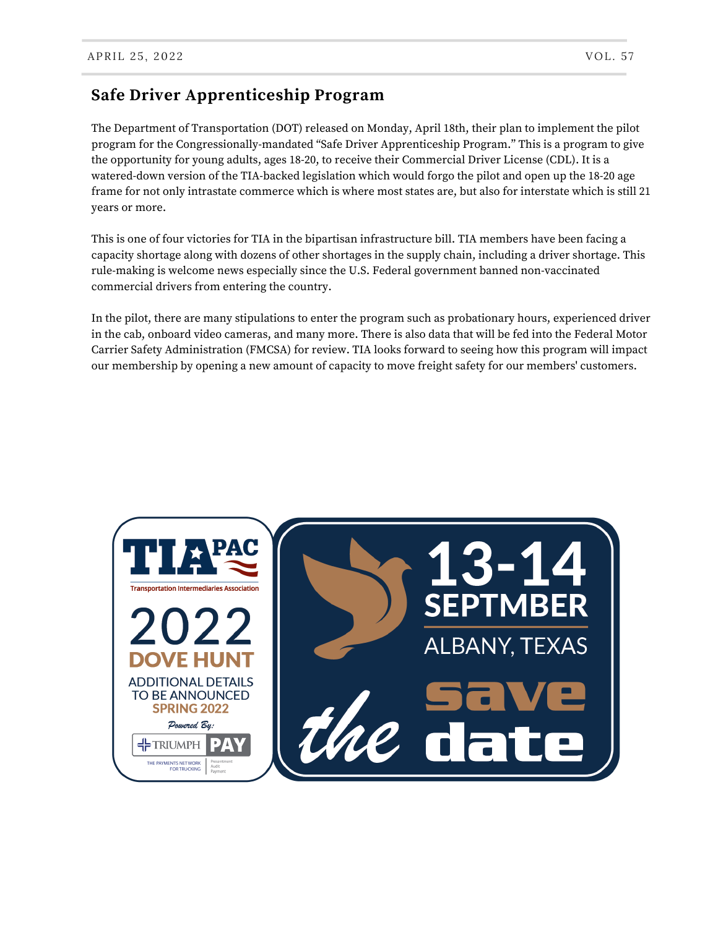## **Safe Driver Apprenticeship Program**

The Department of Transportation (DOT) released on Monday, April 18th, their plan to implement the pilot program for the Congressionally-mandated "Safe Driver Apprenticeship Program." This is a program to give the opportunity for young adults, ages 18-20, to receive their Commercial Driver License (CDL). It is a watered-down version of the TIA-backed legislation which would forgo the pilot and open up the 18-20 age frame for not only intrastate commerce which is where most states are, but also for interstate which is still 21 years or more.

This is one of four victories for TIA in the bipartisan infrastructure bill. TIA members have been facing a capacity shortage along with dozens of other shortages in the supply chain, including a driver shortage. This rule-making is welcome news especially since the U.S. Federal government banned non-vaccinated commercial drivers from entering the country.

In the pilot, there are many stipulations to enter the program such as probationary hours, experienced driver in the cab, onboard video cameras, and many more. There is also data that will be fed into the Federal Motor Carrier Safety Administration (FMCSA) for review. TIA looks forward to seeing how this program will impact our membership by opening a new amount of capacity to move freight safety for our members' customers.